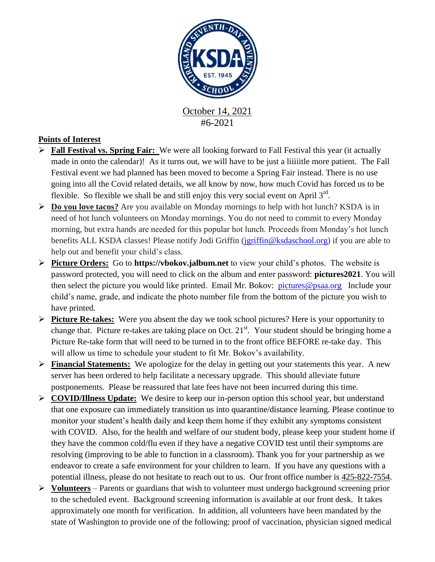

#6-2021

## **Points of Interest**

- **Fall Festival vs. Spring Fair:** We were all looking forward to Fall Festival this year (it actually made in onto the calendar)! As it turns out, we will have to be just a liiiiitle more patient. The Fall Festival event we had planned has been moved to become a Spring Fair instead. There is no use going into all the Covid related details, we all know by now, how much Covid has forced us to be flexible. So flexible we shall be and still enjoy this very social event on April  $3<sup>rd</sup>$ .
- **Do you love tacos?** Are you available on Monday mornings to help with hot lunch? KSDA is in need of hot lunch volunteers on Monday mornings. You do not need to commit to every Monday morning, but extra hands are needed for this popular hot lunch. Proceeds from Monday's hot lunch benefits ALL KSDA classes! Please notify Jodi Griffin [\(jgriffin@ksdaschool.org\)](mailto:jgriffin@ksdaschool.org) if you are able to help out and benefit your child's class.
- **Picture Orders:** Go to **https://vbokov.jalbum.net** to view your child's photos. The website is password protected, you will need to click on the album and enter password: **pictures2021**. You will then select the picture you would like printed. Email Mr. Bokov: [pictures@psaa.org](mailto:vbokov@psaa.org) Include your child's name, grade, and indicate the photo number file from the bottom of the picture you wish to have printed.
- **Picture Re-takes:** Were you absent the day we took school pictures? Here is your opportunity to change that. Picture re-takes are taking place on Oct.  $21^{st}$ . Your student should be bringing home a Picture Re-take form that will need to be turned in to the front office BEFORE re-take day. This will allow us time to schedule your student to fit Mr. Bokov's availability.
- **Financial Statements:** We apologize for the delay in getting out your statements this year. A new server has been ordered to help facilitate a necessary upgrade. This should alleviate future postponements. Please be reassured that late fees have not been incurred during this time.
- **COVID/Illness Update:** We desire to keep our in-person option this school year, but understand that one exposure can immediately transition us into quarantine/distance learning. Please continue to monitor your student's health daily and keep them home if they exhibit any symptoms consistent with COVID. Also, for the health and welfare of our student body, please keep your student home if they have the common cold/flu even if they have a negative COVID test until their symptoms are resolving (improving to be able to function in a classroom). Thank you for your partnership as we endeavor to create a safe environment for your children to learn. If you have any questions with a potential illness, please do not hesitate to reach out to us. Our front office number is [425-822-7554.](tel:425-822-7554)
- **Volunteers** Parents or guardians that wish to volunteer must undergo background screening prior to the scheduled event. Background screening information is available at our front desk. It takes approximately one month for verification. In addition, all volunteers have been mandated by the state of Washington to provide one of the following: proof of vaccination, physician signed medical